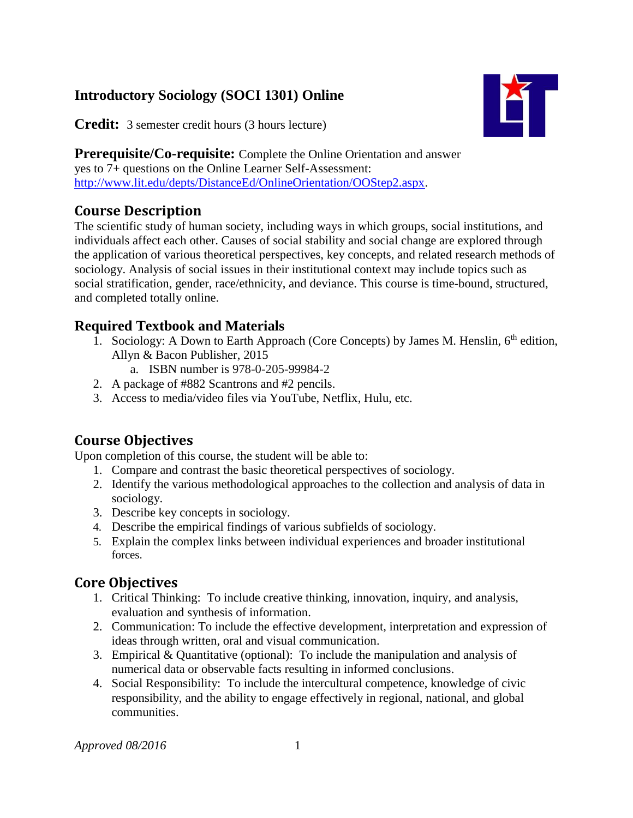# **Introductory Sociology (SOCI 1301) Online**

MГ

**Credit:** 3 semester credit hours (3 hours lecture)

**Prerequisite/Co-requisite:** Complete the Online Orientation and answer yes to 7+ questions on the Online Learner Self-Assessment: [http://www.lit.edu/depts/DistanceEd/OnlineOrientation/OOStep2.aspx.](http://www.lit.edu/depts/DistanceEd/OnlineOrientation/OOStep2.aspx)

## **Course Description**

The scientific study of human society, including ways in which groups, social institutions, and individuals affect each other. Causes of social stability and social change are explored through the application of various theoretical perspectives, key concepts, and related research methods of sociology. Analysis of social issues in their institutional context may include topics such as social stratification, gender, race/ethnicity, and deviance. This course is time-bound, structured, and completed totally online.

### **Required Textbook and Materials**

- 1. Sociology: A Down to Earth Approach (Core Concepts) by James M. Henslin,  $6<sup>th</sup>$  edition, Allyn & Bacon Publisher, 2015
	- a. ISBN number is 978-0-205-99984-2
- 2. A package of #882 Scantrons and #2 pencils.
- 3. Access to media/video files via YouTube, Netflix, Hulu, etc.

### **Course Objectives**

Upon completion of this course, the student will be able to:

- 1. Compare and contrast the basic theoretical perspectives of sociology.
- 2. Identify the various methodological approaches to the collection and analysis of data in sociology.
- 3. Describe key concepts in sociology.
- 4. Describe the empirical findings of various subfields of sociology.
- 5. Explain the complex links between individual experiences and broader institutional forces.

### **Core Objectives**

- 1. Critical Thinking: To include creative thinking, innovation, inquiry, and analysis, evaluation and synthesis of information.
- 2. Communication: To include the effective development, interpretation and expression of ideas through written, oral and visual communication.
- 3. Empirical & Quantitative (optional): To include the manipulation and analysis of numerical data or observable facts resulting in informed conclusions.
- 4. Social Responsibility: To include the intercultural competence, knowledge of civic responsibility, and the ability to engage effectively in regional, national, and global communities.

*Approved 08/2016* 1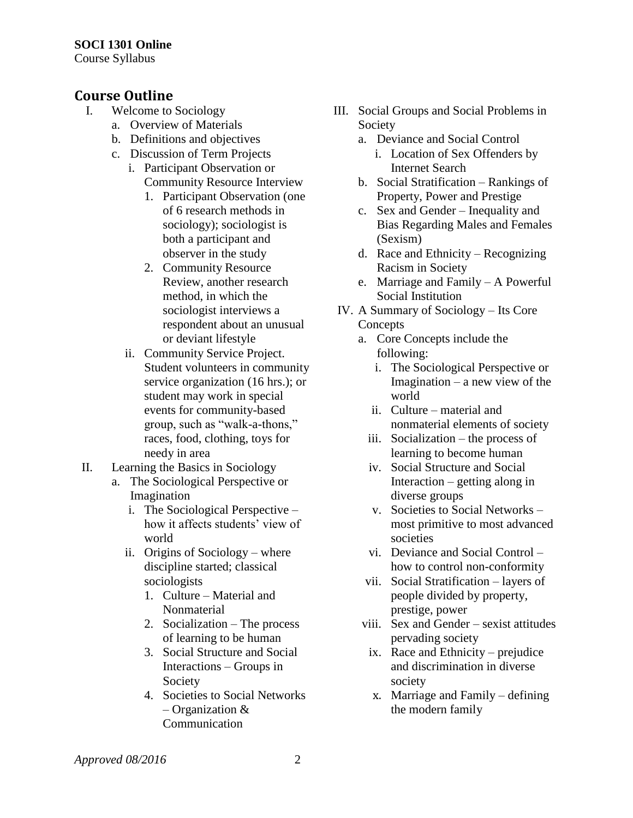Course Syllabus

## **Course Outline**

- I. Welcome to Sociology
	- a. Overview of Materials
	- b. Definitions and objectives
	- c. Discussion of Term Projects
		- i. Participant Observation or Community Resource Interview
			- 1. Participant Observation (one of 6 research methods in sociology); sociologist is both a participant and observer in the study
			- 2. Community Resource Review, another research method, in which the sociologist interviews a respondent about an unusual or deviant lifestyle
		- ii. Community Service Project. Student volunteers in community service organization (16 hrs.); or student may work in special events for community-based group, such as "walk-a-thons," races, food, clothing, toys for needy in area
- II. Learning the Basics in Sociology
	- a. The Sociological Perspective or Imagination
		- i. The Sociological Perspective how it affects students' view of world
		- ii. Origins of Sociology where discipline started; classical sociologists
			- 1. Culture Material and Nonmaterial
			- 2. Socialization The process of learning to be human
			- 3. Social Structure and Social Interactions – Groups in Society
			- 4. Societies to Social Networks – Organization & Communication
- III. Social Groups and Social Problems in Society
	- a. Deviance and Social Control
		- i. Location of Sex Offenders by Internet Search
	- b. Social Stratification Rankings of Property, Power and Prestige
	- c. Sex and Gender Inequality and Bias Regarding Males and Females (Sexism)
	- d. Race and Ethnicity Recognizing Racism in Society
	- e. Marriage and Family A Powerful Social Institution
- IV. A Summary of Sociology Its Core **Concepts** 
	- a. Core Concepts include the following:
		- i. The Sociological Perspective or Imagination – a new view of the world
		- ii. Culture material and nonmaterial elements of society
		- iii. Socialization the process of learning to become human
		- iv. Social Structure and Social Interaction – getting along in diverse groups
		- v. Societies to Social Networks most primitive to most advanced societies
		- vi. Deviance and Social Control how to control non-conformity
	- vii. Social Stratification layers of people divided by property, prestige, power
	- viii. Sex and Gender sexist attitudes pervading society
		- ix. Race and Ethnicity prejudice and discrimination in diverse society
		- x. Marriage and Family defining the modern family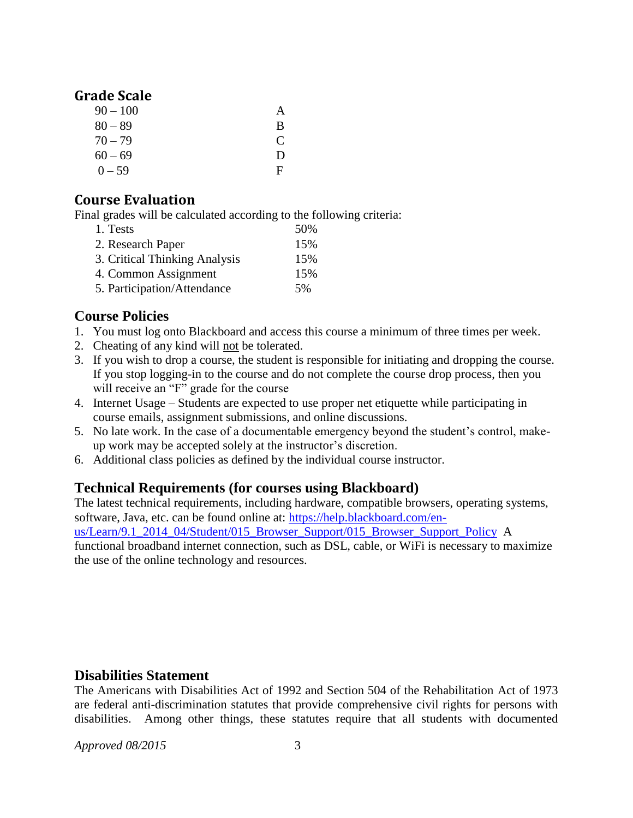#### **Grade Scale**

| $90 - 100$ | А |
|------------|---|
| $80 - 89$  | B |
| $70 - 79$  | € |
| $60 - 69$  | Ð |
| $0 - 59$   | F |

### **Course Evaluation**

Final grades will be calculated according to the following criteria:

| 1. Tests                      | 50% |
|-------------------------------|-----|
| 2. Research Paper             | 15% |
| 3. Critical Thinking Analysis | 15% |
| 4. Common Assignment          | 15% |
| 5. Participation/Attendance   | 5%  |

### **Course Policies**

- 1. You must log onto Blackboard and access this course a minimum of three times per week.
- 2. Cheating of any kind will not be tolerated.
- 3. If you wish to drop a course, the student is responsible for initiating and dropping the course. If you stop logging-in to the course and do not complete the course drop process, then you will receive an "F" grade for the course
- 4. Internet Usage Students are expected to use proper net etiquette while participating in course emails, assignment submissions, and online discussions.
- 5. No late work. In the case of a documentable emergency beyond the student's control, makeup work may be accepted solely at the instructor's discretion.
- 6. Additional class policies as defined by the individual course instructor.

### **Technical Requirements (for courses using Blackboard)**

The latest technical requirements, including hardware, compatible browsers, operating systems, software, Java, etc. can be found online at: [https://help.blackboard.com/en](https://help.blackboard.com/en-us/Learn/9.1_2014_04/Student/015_Browser_Support/015_Browser_Support_Policy)[us/Learn/9.1\\_2014\\_04/Student/015\\_Browser\\_Support/015\\_Browser\\_Support\\_Policy](https://help.blackboard.com/en-us/Learn/9.1_2014_04/Student/015_Browser_Support/015_Browser_Support_Policy) A functional broadband internet connection, such as DSL, cable, or WiFi is necessary to maximize the use of the online technology and resources.

### **Disabilities Statement**

The Americans with Disabilities Act of 1992 and Section 504 of the Rehabilitation Act of 1973 are federal anti-discrimination statutes that provide comprehensive civil rights for persons with disabilities. Among other things, these statutes require that all students with documented

*Approved 08/2015* 3